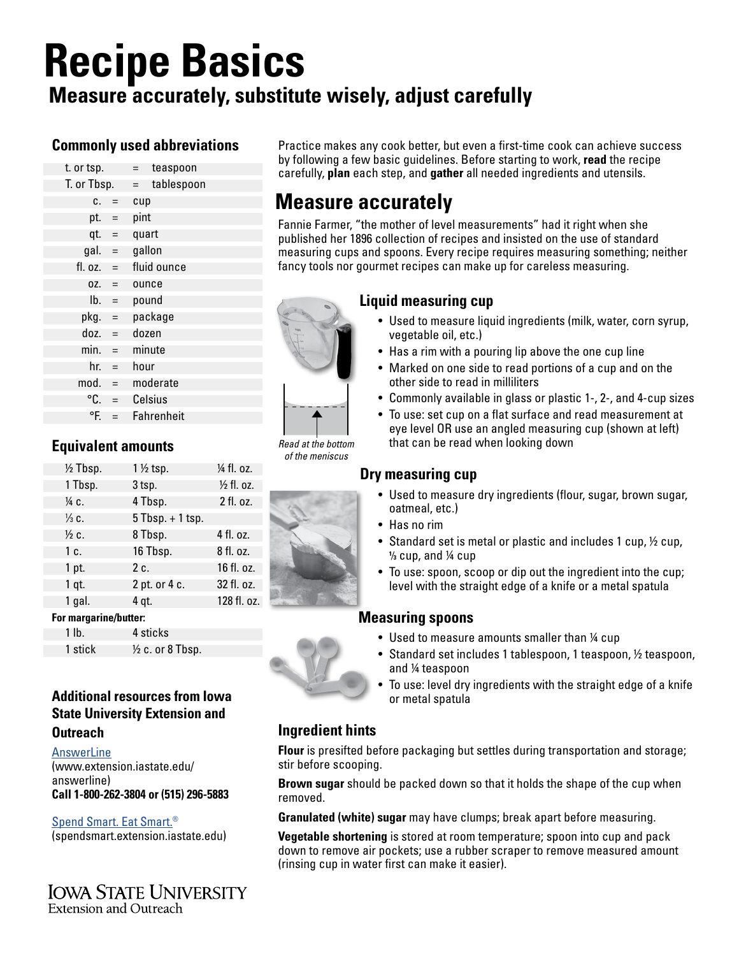# **Recipe Basics**

# **Measure accurately, substitute wisely, adjust carefully**

## **Commonly used abbreviations**

| t. or tsp.       |                           | teaspoon<br>$=$   |  |
|------------------|---------------------------|-------------------|--|
| T. or Tbsp.      |                           | tablespoon<br>$=$ |  |
| C.               | $=$                       | cup               |  |
| pt. $=$          |                           | pint              |  |
| $qt. =$          |                           | quart             |  |
| $gal. =$         |                           | gallon            |  |
| fl. oz. $=$      |                           | fluid ounce       |  |
| $OZ$ . =         |                           | ounce             |  |
| $\mathsf{lb.}$ = |                           | pound             |  |
| pkg.             | $\equiv$                  | package           |  |
| doz.             | $\mathbf{r} = \mathbf{r}$ | dozen             |  |
| min.             | $=$                       | minute            |  |
| $hr. =$          |                           | hour              |  |
| mod.             | $=$                       | moderate          |  |
| °C.              | $\qquad \qquad =$         | Celsius           |  |
| °F.              | $\equiv$                  | Fahrenheit        |  |
|                  |                           |                   |  |

## **Equivalent amounts**

| $\frac{1}{2}$ Tbsp. | $1\frac{1}{2}$ tsp.  | 1⁄4 fl. oz. |
|---------------------|----------------------|-------------|
| 1 Tbsp.             | 3 <sub>tsp.</sub>    | 1/2 fl. oz. |
| 1⁄4 C.              | 4 Tbsp.              | 2 fl. oz.   |
| $\frac{1}{3}$ C.    | $5$ Tbsp. $+$ 1 tsp. |             |
| $\frac{1}{2}$ c.    | 8 Tbsp.              | 4 fl. oz.   |
| 1 c.                | 16 Tbsp.             | 8 fl. oz.   |
| 1 pt.               | 2 c.                 | 16 fl. oz.  |
| $1$ qt.             | 2 pt. or 4 c.        | 32 fl. oz.  |
| 1 gal.              | 4 gt.                | 128 fl. oz. |
|                     |                      |             |

#### **For margarine/butter:**

1 lb. 4 sticks 1 stick  $\frac{1}{2}$  c. or 8 Tbsp.

## **Additional resources from Iowa State University Extension and**

#### **Outreach**

**[AnswerLine](https://www.extension.iastate.edu/answerline)** (www.extension.iastate.edu/ answerline) **Call 1-800-262-3804 or (515) 296-5883**

#### [Spend Smart. Eat Smart.](http://spendsmart.extension.iastate.edu)® (spendsmart.extension.iastate.edu)

**IOWA STATE UNIVERSITY** Extension and Outreach

Practice makes any cook better, but even a first-time cook can achieve success by following a few basic guidelines. Before starting to work, **read** the recipe carefully, **plan** each step, and **gather** all needed ingredients and utensils.

# **Measure accurately**

Fannie Farmer, "the mother of level measurements" had it right when she published her 1896 collection of recipes and insisted on the use of standard measuring cups and spoons. Every recipe requires measuring something; neither fancy tools nor gourmet recipes can make up for careless measuring.

# **Liquid measuring cup**

- Used to measure liquid ingredients (milk, water, corn syrup, vegetable oil, etc.)
- Has a rim with a pouring lip above the one cup line
- Marked on one side to read portions of a cup and on the other side to read in milliliters
- Commonly available in glass or plastic 1-, 2-, and 4-cup sizes
- To use: set cup on a flat surface and read measurement at eye level OR use an angled measuring cup (shown at left) that can be read when looking down

#### **Dry measuring cup**

- Used to measure dry ingredients (flour, sugar, brown sugar, oatmeal, etc.)
- Has no rim
- Standard set is metal or plastic and includes 1 cup,  $\frac{1}{2}$  cup, **1 ⁄3** cup, and ¼ cup
- To use: spoon, scoop or dip out the ingredient into the cup; level with the straight edge of a knife or a metal spatula

## **Measuring spoons**

- Used to measure amounts smaller than 1/4 cup
- Standard set includes 1 tablespoon, 1 teaspoon, 1/2 teaspoon, and ¼ teaspoon
- To use: level dry ingredients with the straight edge of a knife or metal spatula

## **Ingredient hints**

**Flour** is presifted before packaging but settles during transportation and storage; stir before scooping.

**Brown sugar** should be packed down so that it holds the shape of the cup when removed.

**Granulated (white) sugar** may have clumps; break apart before measuring.

**Vegetable shortening** is stored at room temperature; spoon into cup and pack down to remove air pockets; use a rubber scraper to remove measured amount (rinsing cup in water first can make it easier).





*Read at the bottom of the meniscus*